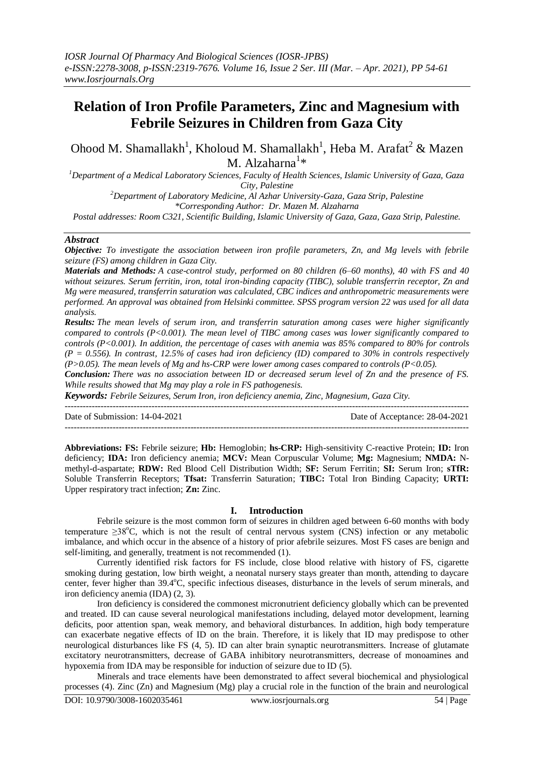# **Relation of Iron Profile Parameters, Zinc and Magnesium with Febrile Seizures in Children from Gaza City**

Ohood M. Shamallakh<sup>1</sup>, Kholoud M. Shamallakh<sup>1</sup>, Heba M. Arafat<sup>2</sup> & Mazen M. Alzaharna $^{1*}$ 

*<sup>1</sup>Department of a Medical Laboratory Sciences, Faculty of Health Sciences, Islamic University of Gaza, Gaza City, Palestine*

*<sup>2</sup>Department of Laboratory Medicine, Al Azhar University-Gaza, Gaza Strip, Palestine \*Corresponding Author: Dr. Mazen M. Alzaharna*

*Postal addresses: Room C321, Scientific Building, Islamic University of Gaza, Gaza, Gaza Strip, Palestine.* 

#### *Abstract*

*Objective: To investigate the association between iron profile parameters, Zn, and Mg levels with febrile seizure (FS) among children in Gaza City.*

*Materials and Methods: A case-control study, performed on 80 children (6–60 months), 40 with FS and 40 without seizures. Serum ferritin, iron, total iron-binding capacity (TIBC), soluble transferrin receptor, Zn and Mg were measured, transferrin saturation was calculated, CBC indices and anthropometric measurements were performed. An approval was obtained from Helsinki committee. SPSS program version 22 was used for all data analysis.* 

*Results: The mean levels of serum iron, and transferrin saturation among cases were higher significantly compared to controls (P<0.001). The mean level of TIBC among cases was lower significantly compared to controls (P<0.001). In addition, the percentage of cases with anemia was 85% compared to 80% for controls (P = 0.556). In contrast, 12.5% of cases had iron deficiency (ID) compared to 30% in controls respectively (P>0.05). The mean levels of Mg and hs-CRP were lower among cases compared to controls (P<0.05).*

*Conclusion: There was no association between ID or decreased serum level of Zn and the presence of FS. While results showed that Mg may play a role in FS pathogenesis.*

---------------------------------------------------------------------------------------------------------------------------------------

*Keywords: Febrile Seizures, Serum Iron, iron deficiency anemia, Zinc, Magnesium, Gaza City.*

Date of Submission: 14-04-2021 Date of Acceptance: 28-04-2021 ---------------------------------------------------------------------------------------------------------------------------------------

**Abbreviations: FS:** Febrile seizure; **Hb:** Hemoglobin; **hs-CRP:** High-sensitivity C-reactive Protein; **ID:** Iron deficiency; **IDA:** Iron deficiency anemia; **MCV:** Mean Corpuscular Volume; **Mg:** Magnesium; **NMDA:** Nmethyl-d-aspartate; **RDW:** Red Blood Cell Distribution Width; **SF:** Serum Ferritin; **SI:** Serum Iron; **sTfR:** Soluble Transferrin Receptors; **Tfsat:** Transferrin Saturation; **TIBC:** Total Iron Binding Capacity; **URTI:** Upper respiratory tract infection; **Zn:** Zinc.

# **I. Introduction**

Febrile seizure is the most common form of seizures in children aged between 6-60 months with body temperature  $\geq 38^{\circ}$ C, which is not the result of central nervous system (CNS) infection or any metabolic imbalance, and which occur in the absence of a history of prior afebrile seizures. Most FS cases are benign and self-limiting, and generally, treatment is not recommended [\(1\)](#page-6-0).

Currently identified risk factors for FS include, close blood relative with history of FS, cigarette smoking during gestation, low birth weight, a neonatal nursery stays greater than month, attending to daycare center, fever higher than 39.4°C, specific infectious diseases, disturbance in the levels of serum minerals, and iron deficiency anemia (IDA) [\(2,](#page-6-1) [3\)](#page-6-2).

Iron deficiency is considered the commonest micronutrient deficiency globally which can be prevented and treated. ID can cause several neurological manifestations including, delayed motor development, learning deficits, poor attention span, weak memory, and behavioral disturbances. In addition, high body temperature can exacerbate negative effects of ID on the brain. Therefore, it is likely that ID may predispose to other neurological disturbances like FS [\(4,](#page-6-3) [5\)](#page-6-4). ID can alter brain synaptic neurotransmitters. Increase of glutamate excitatory neurotransmitters, decrease of GABA inhibitory neurotransmitters, decrease of monoamines and hypoxemia from IDA may be responsible for induction of seizure due to ID [\(5\)](#page-6-4).

Minerals and trace elements have been demonstrated to affect several biochemical and physiological processes [\(4\)](#page-6-3). Zinc (Zn) and Magnesium (Mg) play a crucial role in the function of the brain and neurological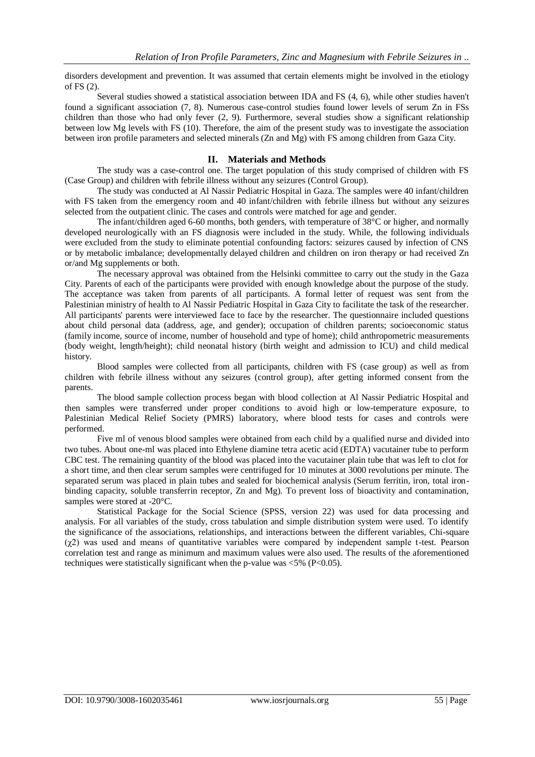disorders development and prevention. It was assumed that certain elements might be involved in the etiology of FS [\(2\)](#page-6-1).

Several studies showed a statistical association between IDA and FS [\(4,](#page-6-3) [6\)](#page-6-5), while other studies haven't found a significant association [\(7,](#page-6-6) [8\)](#page-6-7). Numerous case-control studies found lower levels of serum Zn in FSs children than those who had only fever [\(2,](#page-6-1) [9\)](#page-6-8). Furthermore, several studies show a significant relationship between low Mg levels with FS [\(10\)](#page-6-9). Therefore, the aim of the present study was to investigate the association between iron profile parameters and selected minerals (Zn and Mg) with FS among children from Gaza City.

#### **II. Materials and Methods**

The study was a case-control one. The target population of this study comprised of children with FS (Case Group) and children with febrile illness without any seizures (Control Group).

The study was conducted at Al Nassir Pediatric Hospital in Gaza. The samples were 40 infant/children with FS taken from the emergency room and 40 infant/children with febrile illness but without any seizures selected from the outpatient clinic. The cases and controls were matched for age and gender.

The infant/children aged 6-60 months, both genders, with temperature of 38°C or higher, and normally developed neurologically with an FS diagnosis were included in the study. While, the following individuals were excluded from the study to eliminate potential confounding factors: seizures caused by infection of CNS or by metabolic imbalance; developmentally delayed children and children on iron therapy or had received Zn or/and Mg supplements or both.

The necessary approval was obtained from the Helsinki committee to carry out the study in the Gaza City. Parents of each of the participants were provided with enough knowledge about the purpose of the study. The acceptance was taken from parents of all participants. A formal letter of request was sent from the Palestinian ministry of health to Al Nassir Pediatric Hospital in Gaza City to facilitate the task of the researcher. All participants' parents were interviewed face to face by the researcher. The questionnaire included questions about child personal data (address, age, and gender); occupation of children parents; socioeconomic status (family income, source of income, number of household and type of home); child anthropometric measurements (body weight, length/height); child neonatal history (birth weight and admission to ICU) and child medical history.

Blood samples were collected from all participants, children with FS (case group) as well as from children with febrile illness without any seizures (control group), after getting informed consent from the parents.

The blood sample collection process began with blood collection at Al Nassir Pediatric Hospital and then samples were transferred under proper conditions to avoid high or low-temperature exposure, to Palestinian Medical Relief Society (PMRS) laboratory, where blood tests for cases and controls were performed.

Five ml of venous blood samples were obtained from each child by a qualified nurse and divided into two tubes. About one-ml was placed into Ethylene diamine tetra acetic acid (EDTA) vacutainer tube to perform CBC test. The remaining quantity of the blood was placed into the vacutainer plain tube that was left to clot for a short time, and then clear serum samples were centrifuged for 10 minutes at 3000 revolutions per minute. The separated serum was placed in plain tubes and sealed for biochemical analysis (Serum ferritin, iron, total ironbinding capacity, soluble transferrin receptor, Zn and Mg). To prevent loss of bioactivity and contamination, samples were stored at -20°C.

Statistical Package for the Social Science (SPSS, version 22) was used for data processing and analysis. For all variables of the study, cross tabulation and simple distribution system were used. To identify the significance of the associations, relationships, and interactions between the different variables, Chi-square  $(\gamma 2)$  was used and means of quantitative variables were compared by independent sample t-test. Pearson correlation test and range as minimum and maximum values were also used. The results of the aforementioned techniques were statistically significant when the p-value was  $\langle 5\% (P<0.05)$ .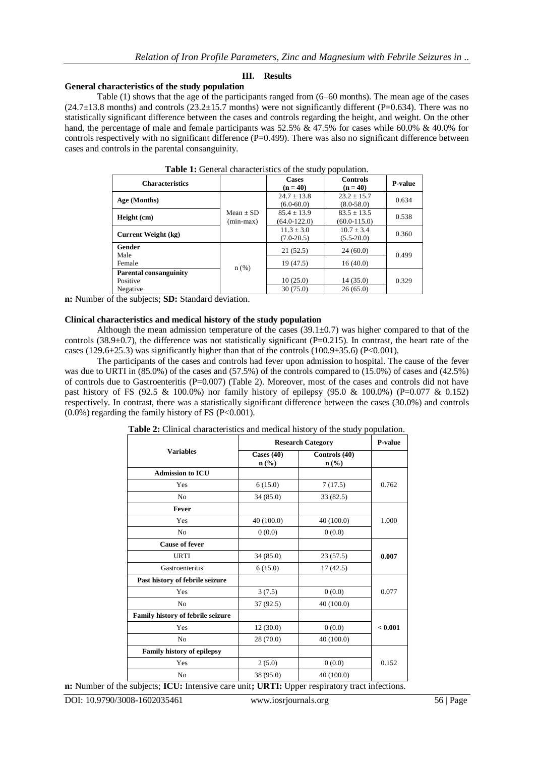## **III. Results**

# **General characteristics of the study population**

Table (1) shows that the age of the participants ranged from (6–60 months). The mean age of the cases  $(24.7\pm13.8 \text{ months})$  and controls  $(23.2\pm15.7 \text{ months})$  were not significantly different (P=0.634). There was no statistically significant difference between the cases and controls regarding the height, and weight. On the other hand, the percentage of male and female participants was 52.5% & 47.5% for cases while 60.0% & 40.0% for controls respectively with no significant difference  $(P=0.499)$ . There was also no significant difference between cases and controls in the parental consanguinity.

| <b>Characteristics</b>                                |                            | Cases<br>$(n = 40)$               | <b>Controls</b><br>$(n = 40)$       | <b>P-value</b> |
|-------------------------------------------------------|----------------------------|-----------------------------------|-------------------------------------|----------------|
| Age (Months)                                          |                            | $24.7 \pm 13.8$<br>$(6.0 - 60.0)$ | $23.2 \pm 15.7$<br>$(8.0 - 58.0)$   | 0.634          |
| Height (cm)                                           | $Mean + SD$<br>$(min-max)$ | $85.4 + 13.9$<br>$(64.0 - 122.0)$ | $83.5 \pm 13.5$<br>$(60.0 - 115.0)$ | 0.538          |
| Current Weight (kg)                                   |                            | $11.3 + 3.0$<br>$(7.0-20.5)$      | $10.7 + 3.4$<br>$(5.5-20.0)$        | 0.360          |
| Gender<br>Male<br>Female                              |                            | 21(52.5)<br>19(47.5)              | 24(60.0)<br>16(40.0)                | 0.499          |
| <b>Parental consanguinity</b><br>Positive<br>Negative | $n$ (%)                    | 10(25.0)<br>30(75.0)              | 14(35.0)<br>26(65.0)                | 0.329          |

**Table 1:** General characteristics of the study population.

**n:** Number of the subjects; **SD:** Standard deviation.

#### **Clinical characteristics and medical history of the study population**

Although the mean admission temperature of the cases  $(39.1\pm0.7)$  was higher compared to that of the controls (38.9 $\pm$ 0.7), the difference was not statistically significant (P=0.215). In contrast, the heart rate of the cases (129.6 $\pm$ 25.3) was significantly higher than that of the controls (100.9 $\pm$ 35.6) (P<0.001).

The participants of the cases and controls had fever upon admission to hospital. The cause of the fever was due to URTI in (85.0%) of the cases and (57.5%) of the controls compared to (15.0%) of cases and (42.5%) of controls due to Gastroenteritis (P=0.007) (Table 2). Moreover, most of the cases and controls did not have past history of FS (92.5 & 100.0%) nor family history of epilepsy (95.0 & 100.0%) (P=0.077 & 0.152) respectively. In contrast, there was a statistically significant difference between the cases (30.0%) and controls  $(0.0\%)$  regarding the family history of FS (P<0.001).

|                                   | <b>Research Category</b>                    | P-value                           |         |
|-----------------------------------|---------------------------------------------|-----------------------------------|---------|
| <b>Variables</b>                  | Cases $(40)$<br>$n\left(\frac{6}{6}\right)$ | Controls (40)<br>$\mathbf{n}(\%)$ |         |
| <b>Admission to ICU</b>           |                                             |                                   |         |
| Yes                               | 6(15.0)                                     | 7(17.5)                           | 0.762   |
| N <sub>0</sub>                    | 34(85.0)                                    | 33 (82.5)                         |         |
| Fever                             |                                             |                                   |         |
| Yes                               | 40 (100.0)                                  | 40(100.0)                         | 1.000   |
| N <sub>0</sub>                    | 0(0.0)                                      | 0(0.0)                            |         |
| <b>Cause of fever</b>             |                                             |                                   |         |
| <b>URTI</b>                       | 34(85.0)                                    | 23(57.5)                          | 0.007   |
| Gastroenteritis                   | 6(15.0)                                     | 17(42.5)                          |         |
| Past history of febrile seizure   |                                             |                                   |         |
| Yes                               | 3(7.5)                                      | 0(0.0)                            | 0.077   |
| No                                | 37 (92.5)                                   | 40 (100.0)                        |         |
| Family history of febrile seizure |                                             |                                   |         |
| Yes                               | 12(30.0)                                    | 0(0.0)                            | < 0.001 |
| N <sub>0</sub>                    | 28 (70.0)                                   | 40 (100.0)                        |         |
| Family history of epilepsy        |                                             |                                   |         |
| Yes                               | 2(5.0)                                      | 0(0.0)                            | 0.152   |
| No                                | 38 (95.0)                                   | 40 (100.0)                        |         |

**Table 2:** Clinical characteristics and medical history of the study population.

**n:** Number of the subjects; **ICU:** Intensive care unit**; URTI:** Upper respiratory tract infections.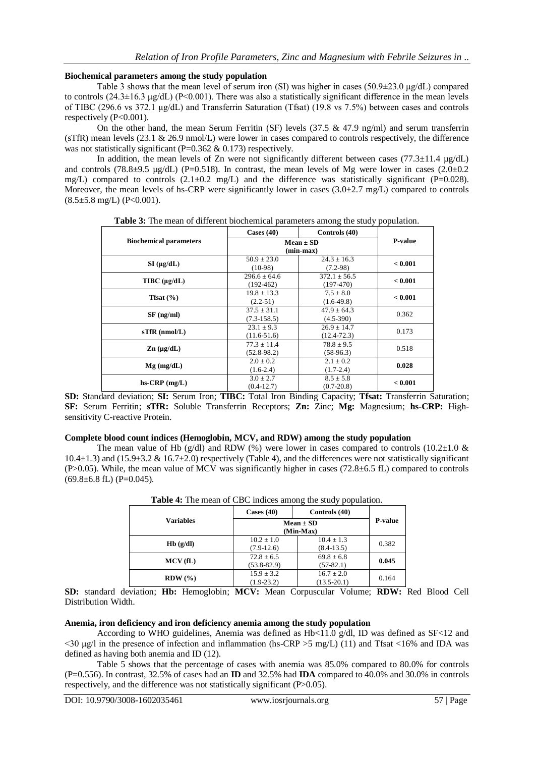# **Biochemical parameters among the study population**

Table 3 shows that the mean level of serum iron (SI) was higher in cases (50.9±23.0  $\mu$ g/dL) compared to controls (24.3±16.3 μg/dL) (P<0.001). There was also a statistically significant difference in the mean levels of TIBC (296.6 vs 372.1 μg/dL) and Transferrin Saturation (Tfsat) (19.8 vs 7.5%) between cases and controls respectively (P<0.001).

On the other hand, the mean Serum Ferritin (SF) levels (37.5 & 47.9 ng/ml) and serum transferrin (sTfR) mean levels (23.1 & 26.9 nmol/L) were lower in cases compared to controls respectively, the difference was not statistically significant (P=0.362  $\&$  0.173) respectively.

In addition, the mean levels of Zn were not significantly different between cases (77.3 $\pm$ 11.4  $\mu$ g/dL) and controls (78.8±9.5 µg/dL) (P=0.518). In contrast, the mean levels of Mg were lower in cases (2.0±0.2 mg/L) compared to controls  $(2.1\pm0.2 \text{ mg/L})$  and the difference was statistically significant (P=0.028). Moreover, the mean levels of hs-CRP were significantly lower in cases  $(3.0\pm 2.7 \text{ mg/L})$  compared to controls  $(8.5\pm5.8 \text{ mg/L})$  (P<0.001).

**Table 3:** The mean of different biochemical parameters among the study population.

|                                      | Cases $(40)$<br>Controls (40)      |                                    |         |  |
|--------------------------------------|------------------------------------|------------------------------------|---------|--|
| <b>Biochemical parameters</b>        | $Mean \pm SD$<br>$(min-max)$       | <b>P-value</b>                     |         |  |
| $SI$ ( $\mu$ g/dL)                   | $50.9 \pm 23.0$<br>$(10-98)$       | $24.3 \pm 16.3$<br>$(7.2-98)$      | < 0.001 |  |
| $T\text{IBC}(\mu\text{g}/d\text{L})$ | $296.6 + 64.6$<br>$(192-462)$      | $372.1 \pm 56.5$<br>$(197-470)$    | < 0.001 |  |
| Tfsat $(\% )$                        | $19.8 \pm 13.3$<br>$(2.2-51)$      | $7.5 \pm 8.0$<br>$(1.6-49.8)$      | < 0.001 |  |
| $SF$ (ng/ml)                         | $37.5 \pm 31.1$<br>$(7.3 - 158.5)$ | $47.9 \pm 64.3$<br>$(4.5-390)$     | 0.362   |  |
| $s$ TfR (nmol/L)                     | $23.1 \pm 9.3$<br>$(11.6-51.6)$    | $26.9 \pm 14.7$<br>$(12.4 - 72.3)$ | 0.173   |  |
| $\mathbf{Zn}$ (µg/dL)                | $77.3 \pm 11.4$<br>$(52.8-98.2)$   | $78.8 \pm 9.5$<br>$(58-96.3)$      | 0.518   |  |
| $Mg$ (mg/dL)                         | $2.0 \pm 0.2$<br>$(1.6-2.4)$       | $2.1 \pm 0.2$<br>$(1.7-2.4)$       | 0.028   |  |
| $hs-CRP$ (mg/L)                      | $3.0 \pm 2.7$<br>$(0.4-12.7)$      | $8.5 \pm 5.8$<br>$(0.7 - 20.8)$    | < 0.001 |  |

**SD:** Standard deviation; **SI:** Serum Iron; **TIBC:** Total Iron Binding Capacity; **Tfsat:** Transferrin Saturation; **SF:** Serum Ferritin; **sTfR:** Soluble Transferrin Receptors; **Zn:** Zinc; **Mg:** Magnesium; **hs-CRP:** Highsensitivity C-reactive Protein.

# **Complete blood count indices (Hemoglobin, MCV, and RDW) among the study population**

The mean value of Hb (g/dl) and RDW (%) were lower in cases compared to controls (10.2 $\pm$ 1.0 &  $10.4\pm1.3$ ) and  $(15.9\pm3.2 \& 16.7\pm2.0)$  respectively (Table 4), and the differences were not statistically significant (P>0.05). While, the mean value of MCV was significantly higher in cases (72.8 $\pm$ 6.5 fL) compared to controls  $(69.8\pm6.8$  fL) (P=0.045).

|                  | Cases $(40)$                      | Controls (40)                     |       |
|------------------|-----------------------------------|-----------------------------------|-------|
| <b>Variables</b> | $Mean \pm SD$<br>(Min-Max)        | <b>P-value</b>                    |       |
| Hb(g/dl)         | $10.2 \pm 1.0$<br>$(7.9-12.6)$    | $10.4 \pm 1.3$<br>$(8.4-13.5)$    | 0.382 |
| MCV(fL)          | $72.8 \pm 6.5$<br>$(53.8 - 82.9)$ | $69.8 \pm 6.8$<br>$(57-82.1)$     | 0.045 |
| $RDW (\%)$       | $15.9 \pm 3.2$<br>$(1.9-23.2)$    | $16.7 \pm 2.0$<br>$(13.5 - 20.1)$ | 0.164 |

**Table 4:** The mean of CBC indices among the study population.

**SD:** standard deviation; **Hb:** Hemoglobin; **MCV:** Mean Corpuscular Volume; **RDW:** Red Blood Cell Distribution Width.

## **Anemia, iron deficiency and iron deficiency anemia among the study population**

According to WHO guidelines, Anemia was defined as  $Hb<11.0$  g/dl, ID was defined as  $SF<12$  and  $\langle 30 \text{ μg}}$  in the presence of infection and inflammation (hs-CRP > 5 mg/L) [\(11\)](#page-6-10) and Tfsat <16% and IDA was defined as having both anemia and ID [\(12\)](#page-6-11).

Table 5 shows that the percentage of cases with anemia was 85.0% compared to 80.0% for controls (P=0.556). In contrast, 32.5% of cases had an **ID** and 32.5% had **IDA** compared to 40.0% and 30.0% in controls respectively, and the difference was not statistically significant (P>0.05).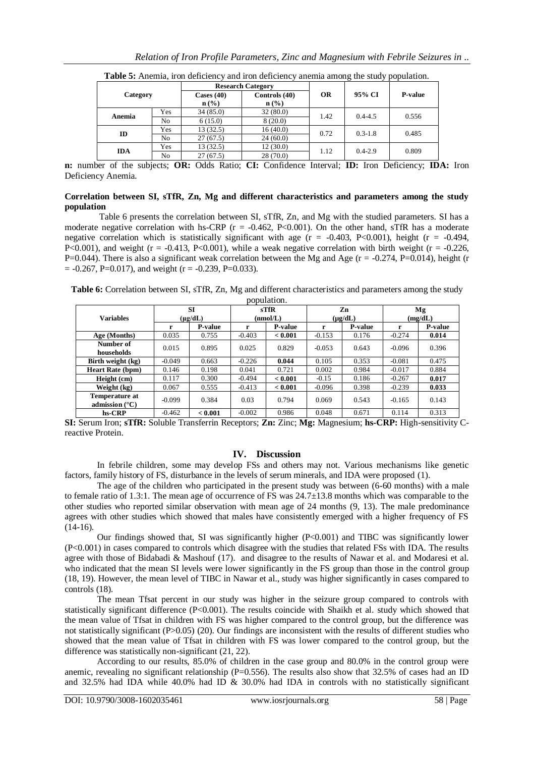| Category   |     | <b>Research Category</b>         |                                   |           |             |                |
|------------|-----|----------------------------------|-----------------------------------|-----------|-------------|----------------|
|            |     | Cases $(40)$<br>$\mathbf{n}(\%)$ | Controls (40)<br>$\mathbf{n}(\%)$ | <b>OR</b> | 95% CI      | <b>P-value</b> |
|            | Yes | 34(85.0)                         | 32(80.0)                          |           |             |                |
| Anemia     | No  | 6(15.0)                          | 8(20.0)                           | 1.42      | $0.4 - 4.5$ | 0.556          |
| ID         | Yes | 13(32.5)                         | 16(40.0)                          | 0.72      | $0.3 - 1.8$ | 0.485          |
|            | No  | 27(67.5)                         | 24(60.0)                          |           |             |                |
|            | Yes | 13(32.5)                         | 12(30.0)                          | 1.12      | $0.4 - 2.9$ | 0.809          |
| <b>IDA</b> | No  | 27(67.5)                         | 28(70.0)                          |           |             |                |

**Table 5:** Anemia, iron deficiency and iron deficiency anemia among the study population.

**n:** number of the subjects; **OR:** Odds Ratio; **CI:** Confidence Interval; **ID:** Iron Deficiency; **IDA:** Iron Deficiency Anemia.

#### **Correlation between SI, sTfR, Zn, Mg and different characteristics and parameters among the study population**

Table 6 presents the correlation between SI, sTfR, Zn, and Mg with the studied parameters. SI has a moderate negative correlation with hs-CRP ( $r = -0.462$ , P<0.001). On the other hand, sTfR has a moderate negative correlation which is statistically significant with age  $(r = -0.403, P<0.001)$ , height  $(r = -0.494,$ P<0.001), and weight ( $r = -0.413$ , P<0.001), while a weak negative correlation with birth weight ( $r = -0.226$ , P=0.044). There is also a significant weak correlation between the Mg and Age ( $r = -0.274$ , P=0.014), height (r  $= -0.267$ , P=0.017), and weight (r = -0.239, P=0.033).

**Table 6:** Correlation between SI, sTfR, Zn, Mg and different characteristics and parameters among the study population.

| ,,,,,,,,,,,,,,                            |                      |                |                  |                |                    |                |               |                |
|-------------------------------------------|----------------------|----------------|------------------|----------------|--------------------|----------------|---------------|----------------|
| <b>Variables</b>                          | <b>SI</b><br>(µg/dL) |                | sTfR<br>(nmol/L) |                | Zn<br>$(\mu g/dL)$ |                | Mg<br>(mg/dL) |                |
|                                           | r                    | <b>P-value</b> | r                | <b>P-value</b> | r                  | <b>P-value</b> | r             | <b>P-value</b> |
| Age (Months)                              | 0.035                | 0.755          | $-0.403$         | < 0.001        | $-0.153$           | 0.176          | $-0.274$      | 0.014          |
| Number of<br>households                   | 0.015                | 0.895          | 0.025            | 0.829          | $-0.053$           | 0.643          | $-0.096$      | 0.396          |
| Birth weight (kg)                         | $-0.049$             | 0.663          | $-0.226$         | 0.044          | 0.105              | 0.353          | $-0.081$      | 0.475          |
| <b>Heart Rate (bpm)</b>                   | 0.146                | 0.198          | 0.041            | 0.721          | 0.002              | 0.984          | $-0.017$      | 0.884          |
| Height (cm)                               | 0.117                | 0.300          | $-0.494$         | < 0.001        | $-0.15$            | 0.186          | $-0.267$      | 0.017          |
| Weight (kg)                               | 0.067                | 0.555          | $-0.413$         | < 0.001        | $-0.096$           | 0.398          | $-0.239$      | 0.033          |
| Temperature at<br>admission $(^{\circ}C)$ | $-0.099$             | 0.384          | 0.03             | 0.794          | 0.069              | 0.543          | $-0.165$      | 0.143          |
| hs-CRP                                    | $-0.462$             | < 0.001        | $-0.002$         | 0.986          | 0.048              | 0.671          | 0.114         | 0.313          |

**SI:** Serum Iron; **sTfR:** Soluble Transferrin Receptors; **Zn:** Zinc; **Mg:** Magnesium; **hs-CRP:** High-sensitivity Creactive Protein.

#### **IV. Discussion**

In febrile children, some may develop FSs and others may not. Various mechanisms like genetic factors, family history of FS, disturbance in the levels of serum minerals, and IDA were proposed [\(1\)](#page-6-0).

The age of the children who participated in the present study was between (6-60 months) with a male to female ratio of 1.3:1. The mean age of occurrence of FS was 24.7±13.8 months which was comparable to the other studies who reported similar observation with mean age of 24 months [\(9,](#page-6-8) [13\)](#page-6-12). The male predominance agrees with other studies which showed that males have consistently emerged with a higher frequency of FS  $(14-16)$ .

Our findings showed that, SI was significantly higher (P<0.001) and TIBC was significantly lower (P<0.001) in cases compared to controls which disagree with the studies that related FSs with IDA. The results agree with those of Bidabadi & Mashouf [\(17\)](#page-6-14). and disagree to the results of Nawar et al. and Modaresi et al. who indicated that the mean SI levels were lower significantly in the FS group than those in the control group [\(18,](#page-6-15) [19\)](#page-6-16). However, the mean level of TIBC in Nawar et al., study was higher significantly in cases compared to controls [\(18\)](#page-6-15).

The mean Tfsat percent in our study was higher in the seizure group compared to controls with statistically significant difference (P<0.001). The results coincide with Shaikh et al. study which showed that the mean value of Tfsat in children with FS was higher compared to the control group, but the difference was not statistically significant (P>0.05) [\(20\)](#page-6-17). Our findings are inconsistent with the results of different studies who showed that the mean value of Tfsat in children with FS was lower compared to the control group, but the difference was statistically non-significant [\(21,](#page-6-18) [22\)](#page-6-19).

According to our results, 85.0% of children in the case group and 80.0% in the control group were anemic, revealing no significant relationship ( $P=0.556$ ). The results also show that 32.5% of cases had an ID and 32.5% had IDA while 40.0% had ID & 30.0% had IDA in controls with no statistically significant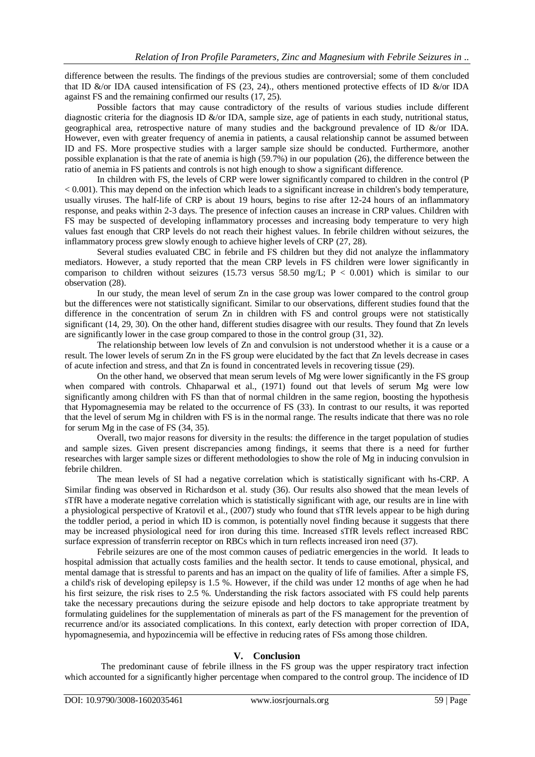difference between the results. The findings of the previous studies are controversial; some of them concluded that ID &/or IDA caused intensification of FS [\(23,](#page-6-20) [24\)](#page-6-21)., others mentioned protective effects of ID &/or IDA against FS and the remaining confirmed our results [\(17,](#page-6-14) [25\)](#page-6-22).

Possible factors that may cause contradictory of the results of various studies include different diagnostic criteria for the diagnosis ID &/or IDA, sample size, age of patients in each study, nutritional status, geographical area, retrospective nature of many studies and the background prevalence of ID &/or IDA. However, even with greater frequency of anemia in patients, a causal relationship cannot be assumed between ID and FS. More prospective studies with a larger sample size should be conducted. Furthermore, another possible explanation is that the rate of anemia is high (59.7%) in our population [\(26\)](#page-6-23), the difference between the ratio of anemia in FS patients and controls is not high enough to show a significant difference.

In children with FS, the levels of CRP were lower significantly compared to children in the control (P < 0.001). This may depend on the infection which leads to a significant increase in children's body temperature, usually viruses. The half-life of CRP is about 19 hours, begins to rise after 12-24 hours of an inflammatory response, and peaks within 2-3 days. The presence of infection causes an increase in CRP values. Children with FS may be suspected of developing inflammatory processes and increasing body temperature to very high values fast enough that CRP levels do not reach their highest values. In febrile children without seizures, the inflammatory process grew slowly enough to achieve higher levels of CRP [\(27,](#page-6-24) [28\)](#page-6-25).

Several studies evaluated CBC in febrile and FS children but they did not analyze the inflammatory mediators. However, a study reported that the mean CRP levels in FS children were lower significantly in comparison to children without seizures (15.73 versus 58.50 mg/L;  $P < 0.001$ ) which is similar to our observation [\(28\)](#page-6-25).

In our study, the mean level of serum Zn in the case group was lower compared to the control group but the differences were not statistically significant. Similar to our observations, different studies found that the difference in the concentration of serum Zn in children with FS and control groups were not statistically significant [\(14,](#page-6-13) [29,](#page-6-26) [30\)](#page-6-27). On the other hand, different studies disagree with our results. They found that Zn levels are significantly lower in the case group compared to those in the control group [\(31,](#page-7-0) [32\)](#page-7-1).

The relationship between low levels of Zn and convulsion is not understood whether it is a cause or a result. The lower levels of serum Zn in the FS group were elucidated by the fact that Zn levels decrease in cases of acute infection and stress, and that Zn is found in concentrated levels in recovering tissue [\(29\)](#page-6-26).

On the other hand, we observed that mean serum levels of Mg were lower significantly in the FS group when compared with controls. Chhaparwal et al., (1971) found out that levels of serum Mg were low significantly among children with FS than that of normal children in the same region, boosting the hypothesis that Hypomagnesemia may be related to the occurrence of FS [\(33\)](#page-7-2). In contrast to our results, it was reported that the level of serum Mg in children with FS is in the normal range. The results indicate that there was no role for serum Mg in the case of FS [\(34,](#page-7-3) [35\)](#page-7-4).

Overall, two major reasons for diversity in the results: the difference in the target population of studies and sample sizes. Given present discrepancies among findings, it seems that there is a need for further researches with larger sample sizes or different methodologies to show the role of Mg in inducing convulsion in febrile children.

The mean levels of SI had a negative correlation which is statistically significant with hs-CRP. A Similar finding was observed in Richardson et al. study [\(36\)](#page-7-5). Our results also showed that the mean levels of sTfR have a moderate negative correlation which is statistically significant with age, our results are in line with a physiological perspective of Kratovil et al., (2007) study who found that sTfR levels appear to be high during the toddler period, a period in which ID is common, is potentially novel finding because it suggests that there may be increased physiological need for iron during this time. Increased sTfR levels reflect increased RBC surface expression of transferrin receptor on RBCs which in turn reflects increased iron need [\(37\)](#page-7-6).

Febrile seizures are one of the most common causes of pediatric emergencies in the world. It leads to hospital admission that actually costs families and the health sector. It tends to cause emotional, physical, and mental damage that is stressful to parents and has an impact on the quality of life of families. After a simple FS, a child's risk of developing epilepsy is 1.5 %. However, if the child was under 12 months of age when he had his first seizure, the risk rises to 2.5 %. Understanding the risk factors associated with FS could help parents take the necessary precautions during the seizure episode and help doctors to take appropriate treatment by formulating guidelines for the supplementation of minerals as part of the FS management for the prevention of recurrence and/or its associated complications. In this context, early detection with proper correction of IDA, hypomagnesemia, and hypozincemia will be effective in reducing rates of FSs among those children.

# **V. Conclusion**

The predominant cause of febrile illness in the FS group was the upper respiratory tract infection which accounted for a significantly higher percentage when compared to the control group. The incidence of ID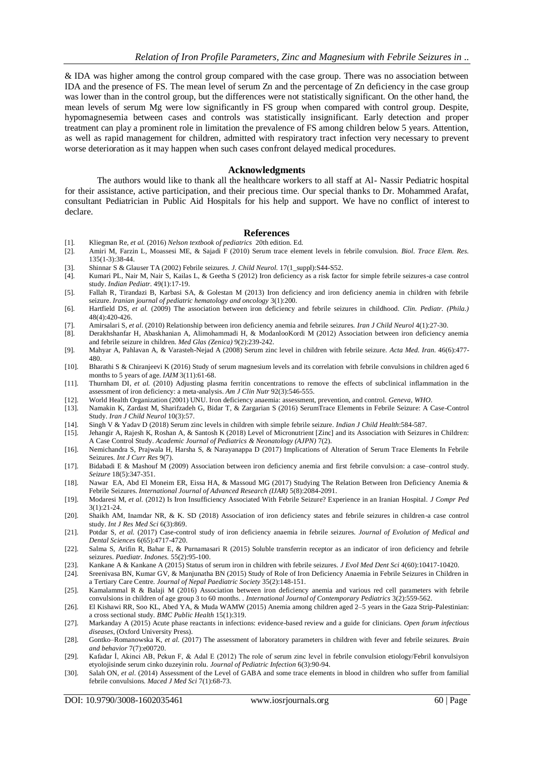& IDA was higher among the control group compared with the case group. There was no association between IDA and the presence of FS. The mean level of serum Zn and the percentage of Zn deficiency in the case group was lower than in the control group, but the differences were not statistically significant. On the other hand, the mean levels of serum Mg were low significantly in FS group when compared with control group. Despite, hypomagnesemia between cases and controls was statistically insignificant. Early detection and proper treatment can play a prominent role in limitation the prevalence of FS among children below 5 years. Attention, as well as rapid management for children, admitted with respiratory tract infection very necessary to prevent worse deterioration as it may happen when such cases confront delayed medical procedures.

#### **Acknowledgments**

The authors would like to thank all the healthcare workers to all staff at Al- Nassir Pediatric hospital for their assistance, active participation, and their precious time. Our special thanks to Dr. Mohammed Arafat, consultant Pediatrician in Public Aid Hospitals for his help and support. We have no conflict of interest to declare.

#### **References**

- <span id="page-6-0"></span>[1]. Kliegman Re*, et al.* (2016) *Nelson textbook of pediatrics* 20th edition. Ed.
- <span id="page-6-1"></span>[2]. Amiri M, Farzin L, Moassesi ME, & Sajadi F (2010) Serum trace element levels in febrile convulsion. *Biol. Trace Elem. Res.* 135(1-3):38-44.
- <span id="page-6-2"></span>[3]. Shinnar S & Glauser TA (2002) Febrile seizures. *J. Child Neurol.* 17(1\_suppl):S44-S52.
- <span id="page-6-3"></span>[4]. Kumari PL, Nair M, Nair S, Kailas L, & Geetha S (2012) Iron deficiency as a risk factor for simple febrile seizures-a case control study. *Indian Pediatr.* 49(1):17-19.
- <span id="page-6-4"></span>[5]. Fallah R, Tirandazi B, Karbasi SA, & Golestan M (2013) Iron deficiency and iron deficiency anemia in children with febrile seizure. *Iranian journal of pediatric hematology and oncology* 3(1):200.
- <span id="page-6-5"></span>[6]. Hartfield DS*, et al.* (2009) The association between iron deficiency and febrile seizures in childhood. *Clin. Pediatr. (Phila.)* 48(4):420-426.
- <span id="page-6-6"></span>[7]. Amirsalari S*, et al.* (2010) Relationship between iron deficiency anemia and febrile seizures. *Iran J Child Neurol* 4(1):27-30.
- <span id="page-6-7"></span>[8]. Derakhshanfar H, Abaskhanian A, Alimohammadi H, & ModanlooKordi M (2012) Association between iron deficiency anemia and febrile seizure in children. *Med Glas (Zenica)* 9(2):239-242.
- <span id="page-6-8"></span>[9]. Mahyar A, Pahlavan A, & Varasteh-Nejad A (2008) Serum zinc level in children with febrile seizure. *Acta Med. Iran.* 46(6):477- 480.
- <span id="page-6-9"></span>[10]. Bharathi S & Chiranjeevi K (2016) Study of serum magnesium levels and its correlation with febrile convulsions in children aged 6 months to 5 years of age. *IAIM* 3(11):61-68.
- <span id="page-6-10"></span>[11]. Thurnham DI*, et al.* (2010) Adjusting plasma ferritin concentrations to remove the effects of subclinical inflammation in the assessment of iron deficiency: a meta-analysis. *Am J Clin Nutr* 92(3):546-555.
- <span id="page-6-11"></span>[12]. World Health Organization (2001) UNU. Iron deficiency anaemia: assessment, prevention, and control. *Geneva, WHO*.
- <span id="page-6-12"></span>[13]. Namakin K, Zardast M, Sharifzadeh G, Bidar T, & Zargarian S (2016) SerumTrace Elements in Febrile Seizure: A Case-Control Study. *Iran J Child Neurol* 10(3):57.
- <span id="page-6-13"></span>[14]. Singh V & Yadav D (2018) Serum zinc levels in children with simple febrile seizure. *Indian J Child Health*:584-587.
- [15]. Jehangir A, Rajesh K, Roshan A, & Santosh K (2018) Level of Micronutrient [Zinc] and its Association with Seizures in Children: A Case Control Study. *Academic Journal of Pediatrics & Neonatology (AJPN)* 7(2).
- [16]. Nemichandra S, Prajwala H, Harsha S, & Narayanappa D (2017) Implications of Alteration of Serum Trace Elements In Febrile Seizures. *Int J Curr Res* 9(7).
- <span id="page-6-14"></span>[17]. Bidabadi E & Mashouf M (2009) Association between iron deficiency anemia and first febrile convulsion: a case–control study. *Seizure* 18(5):347-351.
- <span id="page-6-15"></span>[18]. Nawar EA, Abd El Moneim ER, Eissa HA, & Massoud MG (2017) Studying The Relation Between Iron Deficiency Anemia & Febrile Seizures. *International Journal of Advanced Research (IJAR)* 5(8):2084-2091.
- <span id="page-6-16"></span>[19]. Modaresi M*, et al.* (2012) Is Iron Insufficiency Associated With Febrile Seizure? Experience in an Iranian Hospital. *J Compr Ped* 3(1):21-24.
- <span id="page-6-17"></span>[20]. Shaikh AM, Inamdar NR, & K. SD (2018) Association of iron deficiency states and febrile seizures in children-a case control study. *Int J Res Med Sci* 6(3):869.
- <span id="page-6-18"></span>[21]. Potdar S*, et al.* (2017) Case-control study of iron deficiency anaemia in febrile seizures. *Journal of Evolution of Medical and Dental Sciences* 6(65):4717-4720.
- <span id="page-6-19"></span>[22]. Salma S, Arifin R, Bahar E, & Purnamasari R (2015) Soluble transferrin receptor as an indicator of iron deficiency and febrile seizures. *Paediatr. Indones.* 55(2):95-100.
- <span id="page-6-20"></span>[23]. Kankane A & Kankane A (2015) Status of serum iron in children with febrile seizures. *J Evol Med Dent Sci* 4(60):10417-10420.
- <span id="page-6-21"></span>[24]. Sreenivasa BN, Kumar GV, & Manjunatha BN (2015) Study of Role of Iron Deficiency Anaemia in Febrile Seizures in Children in a Tertiary Care Centre. *Journal of Nepal Paediatric Society* 35(2):148-151.
- <span id="page-6-22"></span>[25]. Kamalammal R & Balaji M (2016) Association between iron deficiency anemia and various red cell parameters with febrile convulsions in children of age group 3 to 60 months. . *International Journal of Contemporary Pediatrics* 3(2):559-562.
- <span id="page-6-23"></span>[26]. El Kishawi RR, Soo KL, Abed YA, & Muda WAMW (2015) Anemia among children aged 2–5 years in the Gaza Strip-Palestinian: a cross sectional study. *BMC Public Health* 15(1):319.
- <span id="page-6-24"></span>[27]. Markanday A (2015) Acute phase reactants in infections: evidence-based review and a guide for clinicians. *Open forum infectious diseases*, (Oxford University Press).
- <span id="page-6-25"></span>[28]. Gontko–Romanowska K*, et al.* (2017) The assessment of laboratory parameters in children with fever and febrile seizures. *Brain and behavior* 7(7):e00720.
- <span id="page-6-26"></span>[29]. Kafadar İ, Akinci AB, Pekun F, & Adal E (2012) The role of serum zinc level in febrile convulsion etiology/Febril konvulsiyon etyolojisinde serum cinko duzeyinin rolu. *Journal of Pediatric Infection* 6(3):90-94.
- <span id="page-6-27"></span>[30]. Salah ON*, et al.* (2014) Assessment of the Level of GABA and some trace elements in blood in children who suffer from familial febrile convulsions. *Maced J Med Sci* 7(1):68-73.